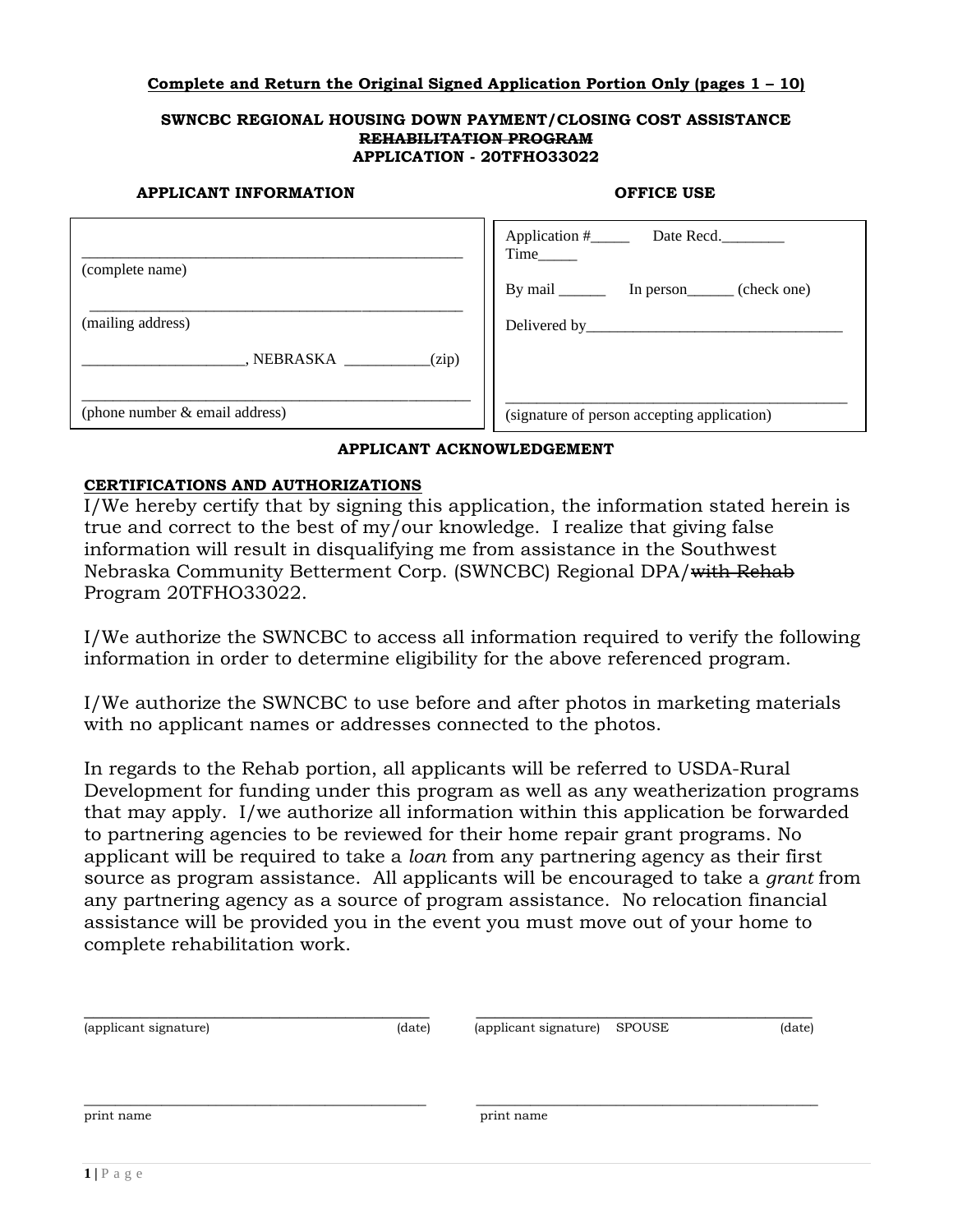# **Complete and Return the Original Signed Application Portion Only (pages 1 – 10)**

#### **SWNCBC REGIONAL HOUSING DOWN PAYMENT/CLOSING COST ASSISTANCE REHABILITATION PROGRAM APPLICATION - 20TFHO33022**

#### **APPLICANT INFORMATION OFFICE USE**

| (complete name)                   | Time_____                                           |
|-----------------------------------|-----------------------------------------------------|
|                                   | By mail ____________ In person_________ (check one) |
| (mailing address)                 | Delivered by_______                                 |
| $\angle$ (zip)<br>, NEBRASKA      |                                                     |
| (phone number $\&$ email address) | (signature of person accepting application)         |

# **APPLICANT ACKNOWLEDGEMENT**

# **CERTIFICATIONS AND AUTHORIZATIONS**

I/We hereby certify that by signing this application, the information stated herein is true and correct to the best of my/our knowledge. I realize that giving false information will result in disqualifying me from assistance in the Southwest Nebraska Community Betterment Corp. (SWNCBC) Regional DPA/with Rehab Program 20TFHO33022.

I/We authorize the SWNCBC to access all information required to verify the following information in order to determine eligibility for the above referenced program.

I/We authorize the SWNCBC to use before and after photos in marketing materials with no applicant names or addresses connected to the photos.

In regards to the Rehab portion, all applicants will be referred to USDA-Rural Development for funding under this program as well as any weatherization programs that may apply. I/we authorize all information within this application be forwarded to partnering agencies to be reviewed for their home repair grant programs. No applicant will be required to take a *loan* from any partnering agency as their first source as program assistance. All applicants will be encouraged to take a *grant* from any partnering agency as a source of program assistance. No relocation financial assistance will be provided you in the event you must move out of your home to complete rehabilitation work.

| (applicant signature) | (date) | (applicant signature) SPOUSE | (date) |
|-----------------------|--------|------------------------------|--------|
| print name            |        | print name                   |        |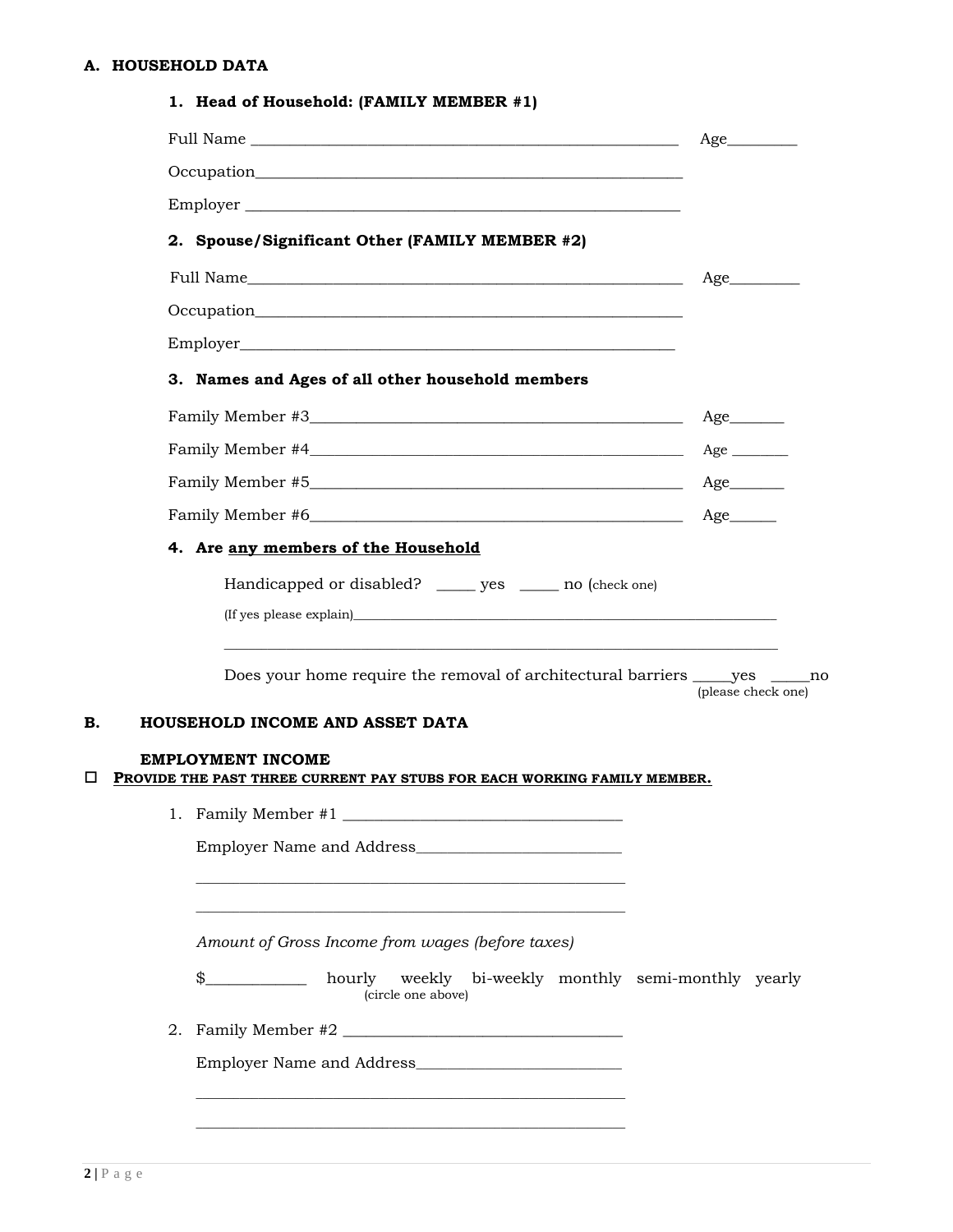# **A. HOUSEHOLD DATA**

| 4. Are any members of the Household<br>Handicapped or disabled? ______ yes ______ no (check one) |                    | Occupation<br>2. Spouse/Significant Other (FAMILY MEMBER #2)<br>3. Names and Ages of all other household members | Age<br>Age<br>Age            |
|--------------------------------------------------------------------------------------------------|--------------------|------------------------------------------------------------------------------------------------------------------|------------------------------|
|                                                                                                  |                    |                                                                                                                  |                              |
|                                                                                                  |                    |                                                                                                                  |                              |
|                                                                                                  |                    |                                                                                                                  |                              |
|                                                                                                  |                    |                                                                                                                  |                              |
|                                                                                                  |                    |                                                                                                                  |                              |
|                                                                                                  |                    |                                                                                                                  |                              |
|                                                                                                  |                    |                                                                                                                  |                              |
|                                                                                                  |                    |                                                                                                                  |                              |
|                                                                                                  |                    |                                                                                                                  |                              |
|                                                                                                  |                    |                                                                                                                  |                              |
|                                                                                                  |                    |                                                                                                                  | $Age$ <sub>___________</sub> |
|                                                                                                  |                    |                                                                                                                  | $Age$ <sub>_________</sub>   |
| HOUSEHOLD INCOME AND ASSET DATA<br>B.<br><b>EMPLOYMENT INCOME</b>                                |                    | Does your home require the removal of architectural barriers ______ yes ______ no                                | (please check one)           |
| $\Box$<br>PROVIDE THE PAST THREE CURRENT PAY STUBS FOR EACH WORKING FAMILY MEMBER.               |                    |                                                                                                                  |                              |
|                                                                                                  |                    |                                                                                                                  |                              |
|                                                                                                  |                    |                                                                                                                  |                              |
|                                                                                                  |                    | Amount of Gross Income from wages (before taxes)                                                                 |                              |
|                                                                                                  | (circle one above) | \$_____________ hourly weekly bi-weekly monthly semi-monthly yearly                                              |                              |
|                                                                                                  |                    | 2. Family Member #2                                                                                              |                              |
|                                                                                                  |                    |                                                                                                                  |                              |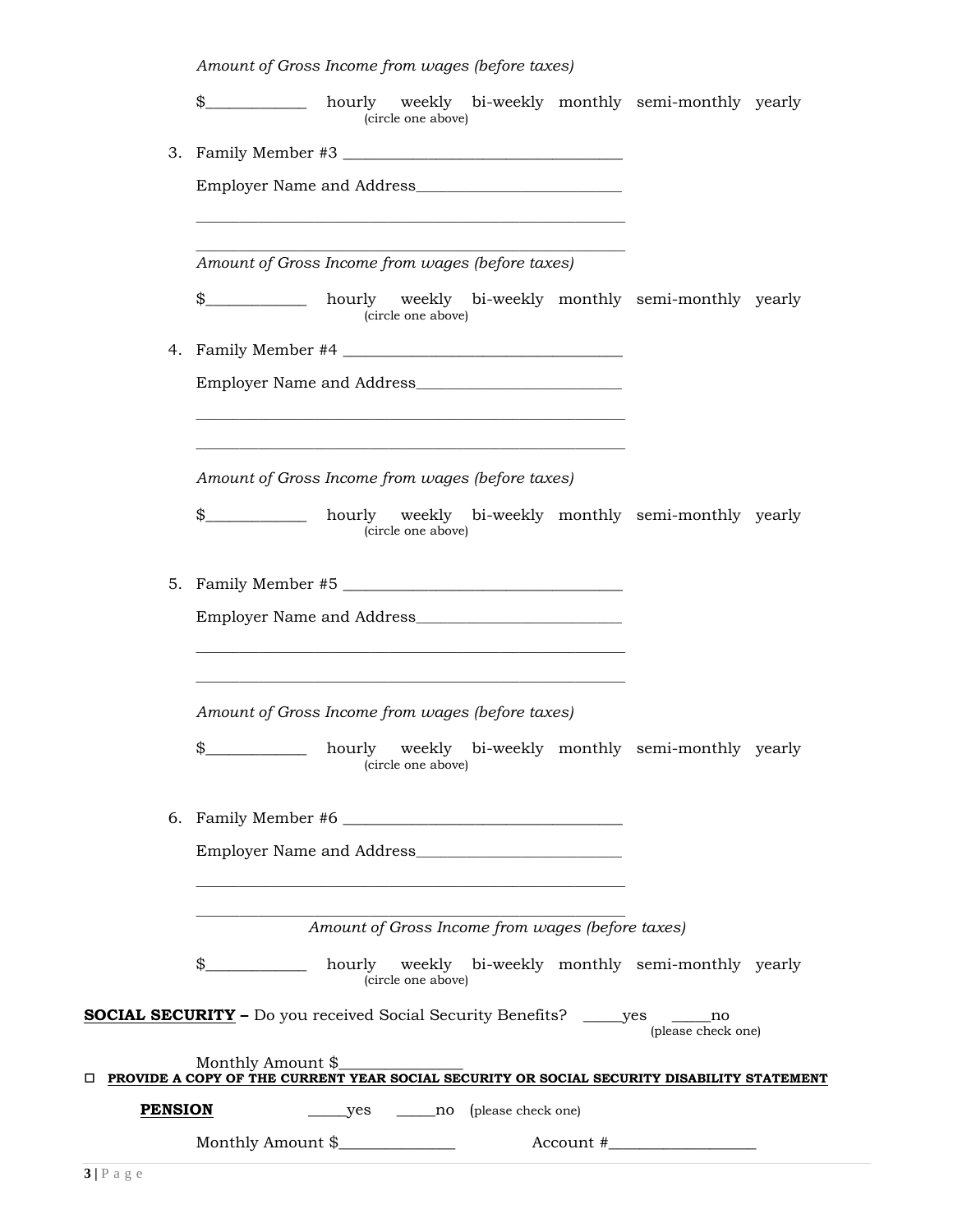*Amount of Gross Income from wages (before taxes)* \$\_\_\_\_\_\_\_\_\_\_\_\_\_ hourly weekly bi-weekly monthly semi-monthly yearly (circle one above) 3. Family Member #3 \_\_\_\_\_\_\_\_\_\_\_\_\_\_\_\_\_\_\_\_\_\_\_\_\_\_\_\_\_\_\_\_\_\_\_\_ Employer Name and Address\_\_\_\_\_\_\_\_\_\_\_\_\_\_\_\_\_\_\_\_\_\_\_\_\_\_\_\_\_\_\_\_\_ \_\_\_\_\_\_\_\_\_\_\_\_\_\_\_\_\_\_\_\_\_\_\_\_\_\_\_\_\_\_\_\_\_\_\_\_\_\_\_\_\_\_\_\_\_\_\_\_\_\_\_\_\_\_\_\_\_\_\_\_\_\_\_\_\_\_\_\_\_ \_\_\_\_\_\_\_\_\_\_\_\_\_\_\_\_\_\_\_\_\_\_\_\_\_\_\_\_\_\_\_\_\_\_\_\_\_\_\_\_\_\_\_\_\_\_\_\_\_\_\_\_\_\_\_\_\_\_\_\_\_\_\_\_\_\_\_\_\_ *Amount of Gross Income from wages (before taxes)* \$\_\_\_\_\_\_\_\_\_\_\_\_\_ hourly weekly bi-weekly monthly semi-monthly yearly (circle one above) 4. Family Member #4 \_\_\_\_\_\_\_\_\_\_\_\_\_\_\_\_\_\_\_\_\_\_\_\_\_\_\_\_\_\_\_\_\_\_\_\_ Employer Name and Address\_\_\_\_\_\_\_\_\_\_\_\_\_\_\_\_\_\_\_\_\_\_\_\_\_\_\_\_\_\_\_\_\_ \_\_\_\_\_\_\_\_\_\_\_\_\_\_\_\_\_\_\_\_\_\_\_\_\_\_\_\_\_\_\_\_\_\_\_\_\_\_\_\_\_\_\_\_\_\_\_\_\_\_\_\_\_\_\_\_\_\_\_\_\_\_\_\_\_\_\_\_\_ \_\_\_\_\_\_\_\_\_\_\_\_\_\_\_\_\_\_\_\_\_\_\_\_\_\_\_\_\_\_\_\_\_\_\_\_\_\_\_\_\_\_\_\_\_\_\_\_\_\_\_\_\_\_\_\_\_\_\_\_\_\_\_\_\_\_\_\_\_ *Amount of Gross Income from wages (before taxes)* \$\_\_\_\_\_\_\_\_\_\_\_\_\_ hourly weekly bi-weekly monthly semi-monthly yearly (circle one above) 5. Family Member #5 \_\_\_\_\_\_\_\_\_\_\_\_\_\_\_\_\_\_\_\_\_\_\_\_\_\_\_\_\_\_\_\_\_\_\_\_ Employer Name and Address\_\_\_\_\_\_\_\_\_\_\_\_\_\_\_\_\_\_\_\_\_\_\_\_\_\_\_\_\_\_\_\_\_ \_\_\_\_\_\_\_\_\_\_\_\_\_\_\_\_\_\_\_\_\_\_\_\_\_\_\_\_\_\_\_\_\_\_\_\_\_\_\_\_\_\_\_\_\_\_\_\_\_\_\_\_\_\_\_\_\_\_\_\_\_\_\_\_\_\_\_\_\_ \_\_\_\_\_\_\_\_\_\_\_\_\_\_\_\_\_\_\_\_\_\_\_\_\_\_\_\_\_\_\_\_\_\_\_\_\_\_\_\_\_\_\_\_\_\_\_\_\_\_\_\_\_\_\_\_\_\_\_\_\_\_\_\_\_\_\_\_\_ *Amount of Gross Income from wages (before taxes)* \$\_\_\_\_\_\_\_\_\_\_\_\_\_ hourly weekly bi-weekly monthly semi-monthly yearly (circle one above) 6. Family Member #6 \_\_\_\_\_\_\_\_\_\_\_\_\_\_\_\_\_\_\_\_\_\_\_\_\_\_\_\_\_\_\_\_\_\_\_\_ Employer Name and Address\_\_\_\_\_\_\_\_\_\_\_\_\_\_\_\_\_\_\_\_\_\_\_\_\_\_\_\_\_\_\_\_\_ \_\_\_\_\_\_\_\_\_\_\_\_\_\_\_\_\_\_\_\_\_\_\_\_\_\_\_\_\_\_\_\_\_\_\_\_\_\_\_\_\_\_\_\_\_\_\_\_\_\_\_\_\_\_\_\_\_\_\_\_\_\_\_\_\_\_\_\_\_ \_\_\_\_\_\_\_\_\_\_\_\_\_\_\_\_\_\_\_\_\_\_\_\_\_\_\_\_\_\_\_\_\_\_\_\_\_\_\_\_\_\_\_\_\_\_\_\_\_\_\_\_\_\_\_\_\_\_\_\_\_\_\_\_\_\_\_\_\_ *Amount of Gross Income from wages (before taxes)* \$\_\_\_\_\_\_\_\_\_\_\_\_\_ hourly weekly bi-weekly monthly semi-monthly yearly (circle one above) **SOCIAL SECURITY –** Do you received Social Security Benefits?\_\_\_\_\_yes \_\_\_\_\_no (please check one)

Monthly Amount \$\_\_\_\_\_\_\_\_\_\_\_\_\_\_\_\_ **PROVIDE A COPY OF THE CURRENT YEAR SOCIAL SECURITY OR SOCIAL SECURITY DISABILITY STATEMENT PENSION** \_\_\_\_\_yes \_\_\_\_\_no (please check one) Monthly Amount \$\_\_\_\_\_\_\_\_\_\_\_\_\_\_\_ Account #\_\_\_\_\_\_\_\_\_\_\_\_\_\_\_\_\_\_\_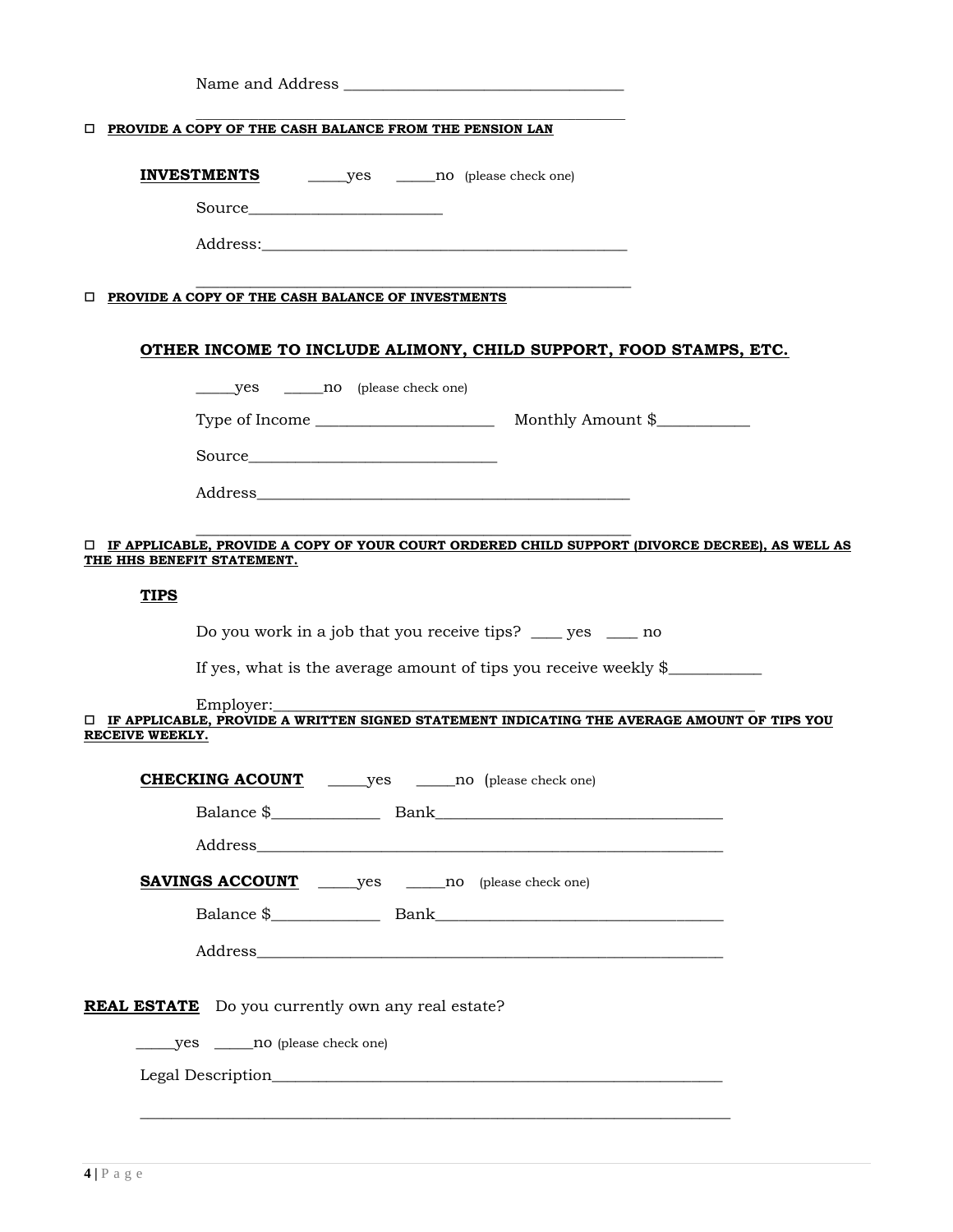|                            | <b>TEROVIDE A COPY OF THE CASH BALANCE FROM THE PENSION LAN</b>                                                 |  |  |
|----------------------------|-----------------------------------------------------------------------------------------------------------------|--|--|
|                            | <b>INVESTMENTS</b> yes _______ no (please check one)                                                            |  |  |
|                            |                                                                                                                 |  |  |
|                            |                                                                                                                 |  |  |
|                            |                                                                                                                 |  |  |
|                            | <b>DEROVIDE A COPY OF THE CASH BALANCE OF INVESTMENTS</b>                                                       |  |  |
|                            |                                                                                                                 |  |  |
|                            | OTHER INCOME TO INCLUDE ALIMONY, CHILD SUPPORT, FOOD STAMPS, ETC.                                               |  |  |
|                            |                                                                                                                 |  |  |
|                            |                                                                                                                 |  |  |
|                            |                                                                                                                 |  |  |
|                            |                                                                                                                 |  |  |
|                            |                                                                                                                 |  |  |
| THE HHS BENEFIT STATEMENT. | □ IF APPLICABLE, PROVIDE A COPY OF YOUR COURT ORDERED CHILD SUPPORT (DIVORCE DECREE), AS WELL AS                |  |  |
| <b>TIPS</b>                |                                                                                                                 |  |  |
|                            |                                                                                                                 |  |  |
|                            | Do you work in a job that you receive tips? ____ yes ____ no                                                    |  |  |
|                            | If yes, what is the average amount of tips you receive weekly \$                                                |  |  |
|                            | Employer:<br>$\Box$ IF APPLICABLE, PROVIDE A WRITTEN SIGNED STATEMENT INDICATING THE AVERAGE AMOUNT OF TIPS YOU |  |  |
| RECEIVE WEEKLY.            |                                                                                                                 |  |  |
|                            | <b>CHECKING ACOUNT</b>                                                                                          |  |  |
|                            |                                                                                                                 |  |  |
|                            |                                                                                                                 |  |  |
|                            |                                                                                                                 |  |  |
|                            |                                                                                                                 |  |  |
|                            |                                                                                                                 |  |  |
|                            |                                                                                                                 |  |  |
|                            |                                                                                                                 |  |  |
|                            | <b>REAL ESTATE</b> Do you currently own any real estate?                                                        |  |  |
|                            | yes ________ no (please check one)                                                                              |  |  |
|                            |                                                                                                                 |  |  |
|                            |                                                                                                                 |  |  |
|                            |                                                                                                                 |  |  |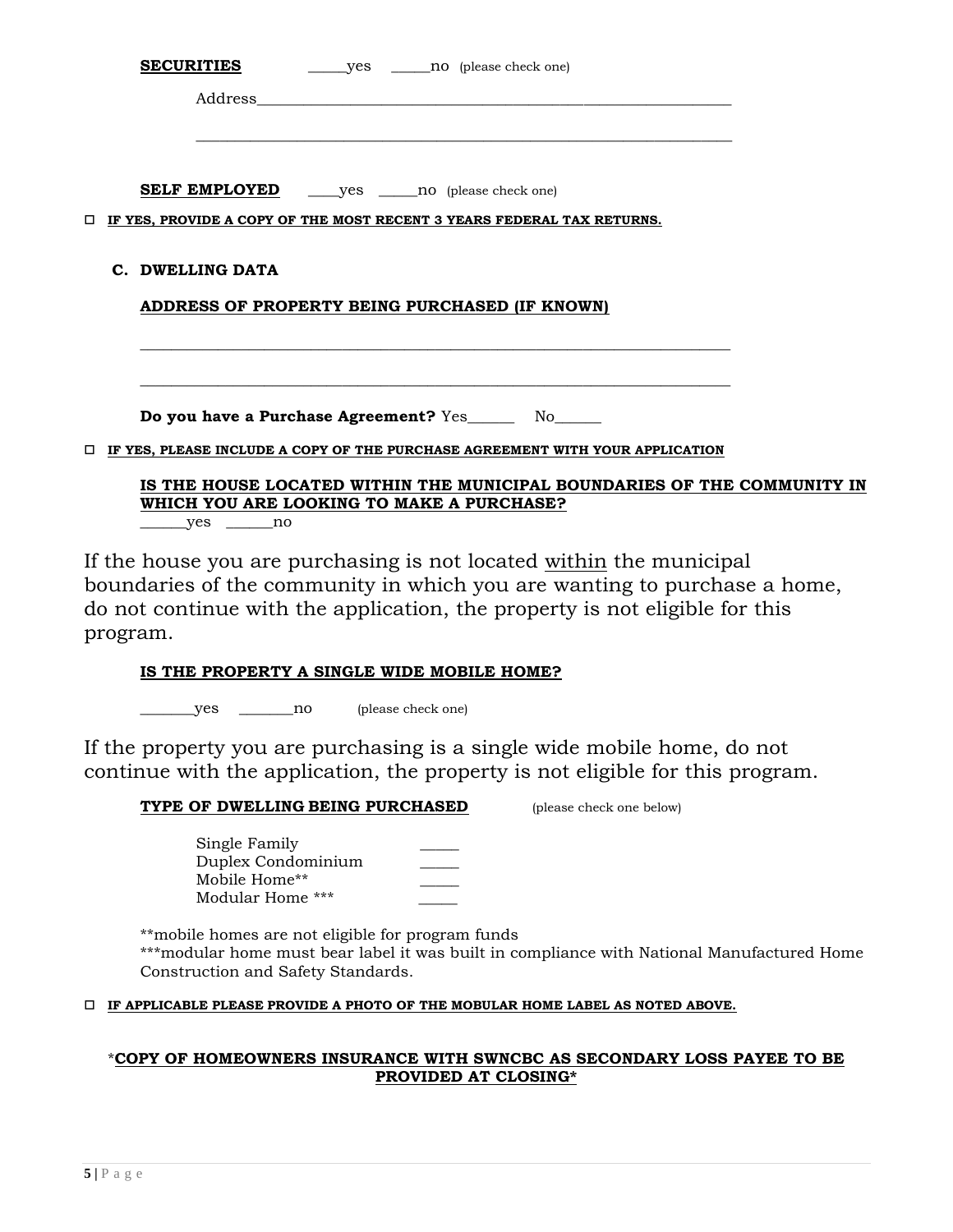|   |  | Address and the state of the state of the state of the state of the state of the state of the state of the state of the state of the state of the state of the state of the state of the state of the state of the state of th |  |
|---|--|--------------------------------------------------------------------------------------------------------------------------------------------------------------------------------------------------------------------------------|--|
|   |  |                                                                                                                                                                                                                                |  |
|   |  |                                                                                                                                                                                                                                |  |
|   |  |                                                                                                                                                                                                                                |  |
| □ |  | IF YES, PROVIDE A COPY OF THE MOST RECENT 3 YEARS FEDERAL TAX RETURNS.                                                                                                                                                         |  |
|   |  | C. DWELLING DATA                                                                                                                                                                                                               |  |
|   |  | ADDRESS OF PROPERTY BEING PURCHASED (IF KNOWN)                                                                                                                                                                                 |  |
|   |  |                                                                                                                                                                                                                                |  |
|   |  |                                                                                                                                                                                                                                |  |
|   |  | Do you have a Purchase Agreement? Yes _______ No______                                                                                                                                                                         |  |
| 0 |  | IF YES, PLEASE INCLUDE A COPY OF THE PURCHASE AGREEMENT WITH YOUR APPLICATION                                                                                                                                                  |  |
|   |  | IS THE HOUSE LOCATED WITHIN THE MUNICIPAL BOUNDARIES OF THE COMMUNITY IN<br>WHICH YOU ARE LOOKING TO MAKE A PURCHASE?                                                                                                          |  |

 $\rule{1em}{0.15mm}$  yes  $\rule{1em}{0.15mm}$  no

If the house you are purchasing is not located within the municipal boundaries of the community in which you are wanting to purchase a home, do not continue with the application, the property is not eligible for this program.

# **IS THE PROPERTY A SINGLE WIDE MOBILE HOME?**

\_\_\_\_\_\_\_yes \_\_\_\_\_\_\_no (please check one)

If the property you are purchasing is a single wide mobile home, do not continue with the application, the property is not eligible for this program.

## **TYPE OF DWELLING BEING PURCHASED** (please check one below)

Single Family Duplex Condominium \_\_\_\_\_ Mobile Home\*\* \_\_\_\_\_ Modular Home \*\*\*

\*\*mobile homes are not eligible for program funds \*\*\*modular home must bear label it was built in compliance with National Manufactured Home Construction and Safety Standards.

### **IF APPLICABLE PLEASE PROVIDE A PHOTO OF THE MOBULAR HOME LABEL AS NOTED ABOVE.**

# \***COPY OF HOMEOWNERS INSURANCE WITH SWNCBC AS SECONDARY LOSS PAYEE TO BE PROVIDED AT CLOSING\***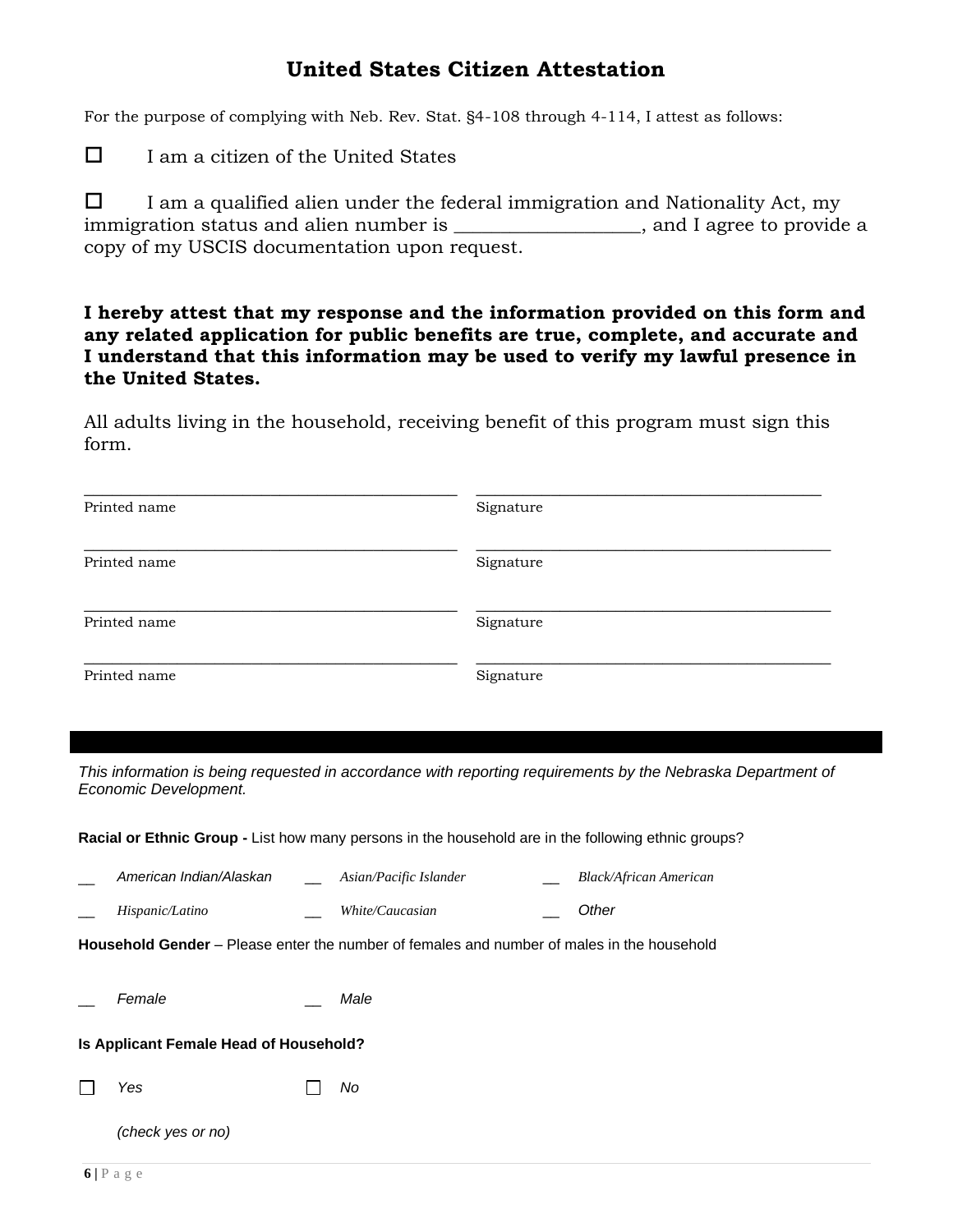# **United States Citizen Attestation**

For the purpose of complying with Neb. Rev. Stat. §4-108 through 4-114, I attest as follows:

 $\Box$  I am a citizen of the United States

 $\Box$  I am a qualified alien under the federal immigration and Nationality Act, my immigration status and alien number is \_\_\_\_\_\_\_\_\_\_\_\_\_\_\_\_\_\_\_, and I agree to provide a copy of my USCIS documentation upon request.

**I hereby attest that my response and the information provided on this form and any related application for public benefits are true, complete, and accurate and I understand that this information may be used to verify my lawful presence in the United States.** 

All adults living in the household, receiving benefit of this program must sign this form.

| Printed name | Signature |
|--------------|-----------|
| Printed name | Signature |
| Printed name | Signature |
| Printed name | Signature |

This information is being requested in accordance with reporting requirements by the Nebraska Department of *Economic Development.* 

**Racial or Ethnic Group -** List how many persons in the household are in the following ethnic groups?

| American Indian/Alaskan | Asian/Pacific Islander | Black/African American |
|-------------------------|------------------------|------------------------|
| Hispanic/Latino         | <i>White/Caucasian</i> | Other                  |

**Household Gender** – Please enter the number of females and number of males in the household

| Female | Male |
|--------|------|
|--------|------|

### **Is Applicant Female Head of Household?**

*Yes No* П

*(check yes or no)*